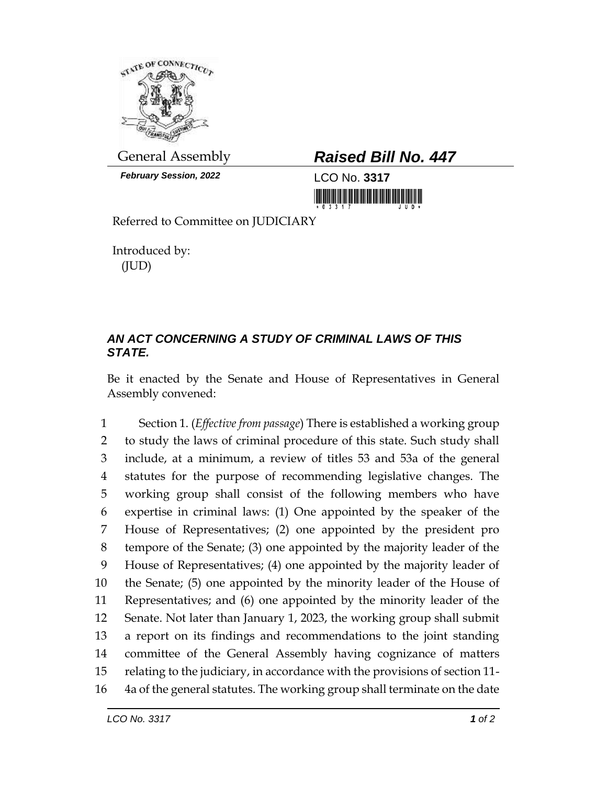

*February Session, 2022* LCO No. **3317**

## General Assembly *Raised Bill No. 447*

Referred to Committee on JUDICIARY

Introduced by: (JUD)

## *AN ACT CONCERNING A STUDY OF CRIMINAL LAWS OF THIS STATE.*

Be it enacted by the Senate and House of Representatives in General Assembly convened:

 Section 1. (*Effective from passage*) There is established a working group to study the laws of criminal procedure of this state. Such study shall include, at a minimum, a review of titles 53 and 53a of the general statutes for the purpose of recommending legislative changes. The working group shall consist of the following members who have expertise in criminal laws: (1) One appointed by the speaker of the House of Representatives; (2) one appointed by the president pro tempore of the Senate; (3) one appointed by the majority leader of the House of Representatives; (4) one appointed by the majority leader of the Senate; (5) one appointed by the minority leader of the House of Representatives; and (6) one appointed by the minority leader of the Senate. Not later than January 1, 2023, the working group shall submit a report on its findings and recommendations to the joint standing committee of the General Assembly having cognizance of matters relating to the judiciary, in accordance with the provisions of section 11- 4a of the general statutes. The working group shall terminate on the date